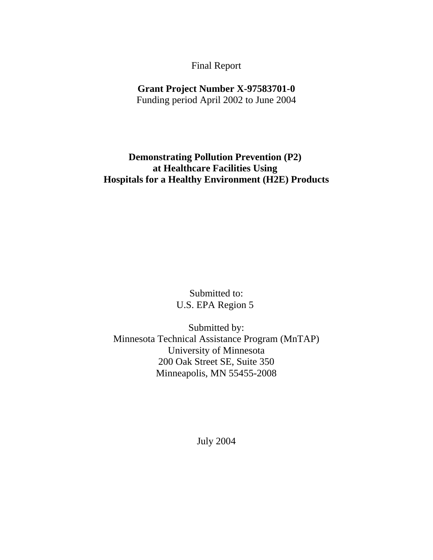#### Final Report

# **Grant Project Number X-97583701-0**

Funding period April 2002 to June 2004

# **Demonstrating Pollution Prevention (P2) at Healthcare Facilities Using Hospitals for a Healthy Environment (H2E) Products**

Submitted to: U.S. EPA Region 5

Submitted by: Minnesota Technical Assistance Program (MnTAP) University of Minnesota 200 Oak Street SE, Suite 350 Minneapolis, MN 55455-2008

July 2004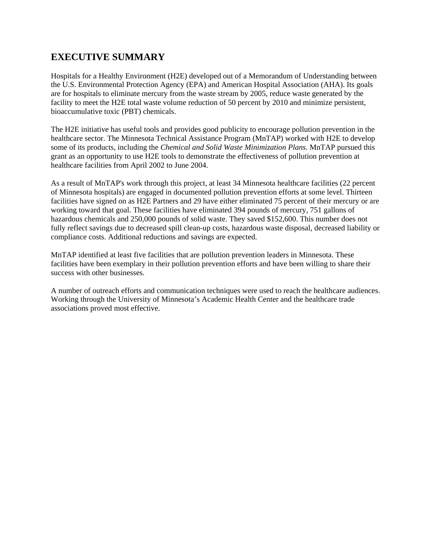# **EXECUTIVE SUMMARY**

Hospitals for a Healthy Environment (H2E) developed out of a Memorandum of Understanding between the U.S. Environmental Protection Agency (EPA) and American Hospital Association (AHA). Its goals are for hospitals to eliminate mercury from the waste stream by 2005, reduce waste generated by the facility to meet the H2E total waste volume reduction of 50 percent by 2010 and minimize persistent, bioaccumulative toxic (PBT) chemicals.

The H2E initiative has useful tools and provides good publicity to encourage pollution prevention in the healthcare sector. The Minnesota Technical Assistance Program (MnTAP) worked with H2E to develop some of its products, including the *Chemical and Solid Waste Minimization Plans*. MnTAP pursued this grant as an opportunity to use H2E tools to demonstrate the effectiveness of pollution prevention at healthcare facilities from April 2002 to June 2004.

As a result of MnTAP's work through this project, at least 34 Minnesota healthcare facilities (22 percent of Minnesota hospitals) are engaged in documented pollution prevention efforts at some level. Thirteen facilities have signed on as H2E Partners and 29 have either eliminated 75 percent of their mercury or are working toward that goal. These facilities have eliminated 394 pounds of mercury, 751 gallons of hazardous chemicals and 250,000 pounds of solid waste. They saved \$152,600. This number does not fully reflect savings due to decreased spill clean-up costs, hazardous waste disposal, decreased liability or compliance costs. Additional reductions and savings are expected.

MnTAP identified at least five facilities that are pollution prevention leaders in Minnesota. These facilities have been exemplary in their pollution prevention efforts and have been willing to share their success with other businesses.

A number of outreach efforts and communication techniques were used to reach the healthcare audiences. Working through the University of Minnesota's Academic Health Center and the healthcare trade associations proved most effective.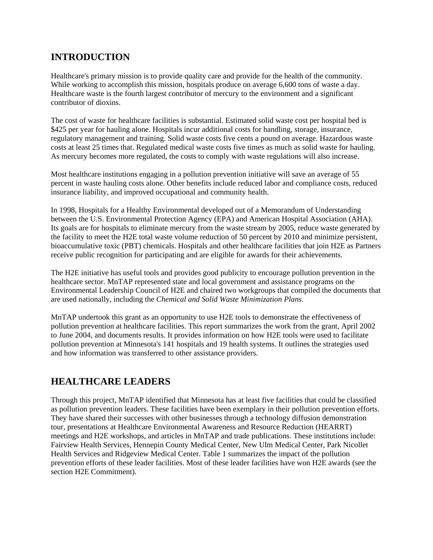# **INTRODUCTION**

Healthcare's primary mission is to provide quality care and provide for the health of the community. While working to accomplish this mission, hospitals produce on average 6,600 tons of waste a day. Healthcare waste is the fourth largest contributor of mercury to the environment and a significant contributor of dioxins.

The cost of waste for healthcare facilities is substantial. Estimated solid waste cost per hospital bed is \$425 per year for hauling alone. Hospitals incur additional costs for handling, storage, insurance, regulatory management and training. Solid waste costs five cents a pound on average. Hazardous waste costs at least 25 times that. Regulated medical waste costs five times as much as solid waste for hauling. As mercury becomes more regulated, the costs to comply with waste regulations will also increase.

Most healthcare institutions engaging in a pollution prevention initiative will save an average of 55 percent in waste hauling costs alone. Other benefits include reduced labor and compliance costs, reduced insurance liability, and improved occupational and community health.

In 1998, Hospitals for a Healthy Environmental developed out of a Memorandum of Understanding between the U.S. Environmental Protection Agency (EPA) and American Hospital Association (AHA). Its goals are for hospitals to eliminate mercury from the waste stream by 2005, reduce waste generated by the facility to meet the H2E total waste volume reduction of 50 percent by 2010 and minimize persistent, bioaccumulative toxic (PBT) chemicals. Hospitals and other healthcare facilities that join H2E as Partners receive public recognition for participating and are eligible for awards for their achievements.

The H2E initiative has useful tools and provides good publicity to encourage pollution prevention in the healthcare sector. MnTAP represented state and local government and assistance programs on the Environmental Leadership Council of H2E and chaired two workgroups that compiled the documents that are used nationally, including the *Chemical and Solid Waste Minimization Plans*.

MnTAP undertook this grant as an opportunity to use H2E tools to demonstrate the effectiveness of pollution prevention at healthcare facilities. This report summarizes the work from the grant, April 2002 to June 2004, and documents results. It provides information on how H2E tools were used to facilitate pollution prevention at Minnesota's 141 hospitals and 19 health systems. It outlines the strategies used and how information was transferred to other assistance providers.

# **HEALTHCARE LEADERS**

Through this project, MnTAP identified that Minnesota has at least five facilities that could be classified as pollution prevention leaders. These facilities have been exemplary in their pollution prevention efforts. They have shared their successes with other businesses through a technology diffusion demonstration tour, presentations at Healthcare Environmental Awareness and Resource Reduction (HEARRT) meetings and H2E workshops, and articles in MnTAP and trade publications. These institutions include: Fairview Health Services, Hennepin County Medical Center, New Ulm Medical Center, Park Nicollet Health Services and Ridgeview Medical Center. Table 1 summarizes the impact of the pollution prevention efforts of these leader facilities. Most of these leader facilities have won H2E awards (see the section H2E Commitment).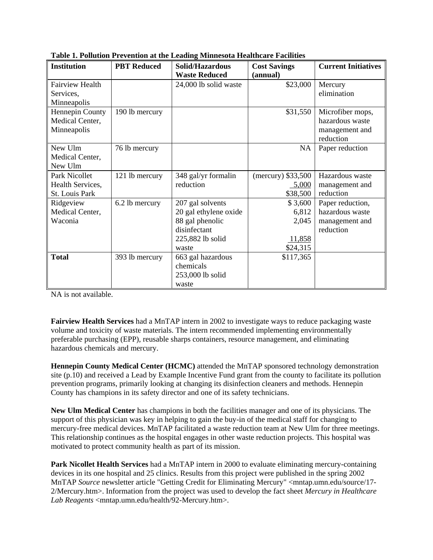| <b>Institution</b>     | <b>PBT</b> Reduced | Solid/Hazardous       | <b>Cost Savings</b> | <b>Current Initiatives</b> |
|------------------------|--------------------|-----------------------|---------------------|----------------------------|
|                        |                    | <b>Waste Reduced</b>  | (annual)            |                            |
| <b>Fairview Health</b> |                    | 24,000 lb solid waste | \$23,000            | Mercury                    |
| Services,              |                    |                       |                     | elimination                |
| Minneapolis            |                    |                       |                     |                            |
| Hennepin County        | 190 lb mercury     |                       | \$31,550            | Microfiber mops,           |
| Medical Center,        |                    |                       |                     | hazardous waste            |
| Minneapolis            |                    |                       |                     | management and             |
|                        |                    |                       |                     | reduction                  |
| New Ulm                | 76 lb mercury      |                       | NA                  | Paper reduction            |
| Medical Center,        |                    |                       |                     |                            |
| New Ulm                |                    |                       |                     |                            |
| Park Nicollet          | 121 lb mercury     | 348 gal/yr formalin   | (mercury) \$33,500  | Hazardous waste            |
| Health Services,       |                    | reduction             | 5,000               | management and             |
| St. Louis Park         |                    |                       | \$38,500            | reduction                  |
| Ridgeview              | 6.2 lb mercury     | 207 gal solvents      | \$3,600             | Paper reduction,           |
| Medical Center,        |                    | 20 gal ethylene oxide | 6,812               | hazardous waste            |
| Waconia                |                    | 88 gal phenolic       | 2,045               | management and             |
|                        |                    | disinfectant          |                     | reduction                  |
|                        |                    | 225,882 lb solid      | 11,858              |                            |
|                        |                    | waste                 | \$24,315            |                            |
| <b>Total</b>           | 393 lb mercury     | 663 gal hazardous     | \$117,365           |                            |
|                        |                    | chemicals             |                     |                            |
|                        |                    | 253,000 lb solid      |                     |                            |
|                        |                    | waste                 |                     |                            |

**Table 1. Pollution Prevention at the Leading Minnesota Healthcare Facilities**

NA is not available.

**Fairview Health Services** had a MnTAP intern in 2002 to investigate ways to reduce packaging waste volume and toxicity of waste materials. The intern recommended implementing environmentally preferable purchasing (EPP), reusable sharps containers, resource management, and eliminating hazardous chemicals and mercury.

**Hennepin County Medical Center (HCMC)** attended the MnTAP sponsored technology demonstration site (p.10) and received a Lead by Example Incentive Fund grant from the county to facilitate its pollution prevention programs, primarily looking at changing its disinfection cleaners and methods. Hennepin County has champions in its safety director and one of its safety technicians.

**New Ulm Medical Center** has champions in both the facilities manager and one of its physicians. The support of this physician was key in helping to gain the buy-in of the medical staff for changing to mercury-free medical devices. MnTAP facilitated a waste reduction team at New Ulm for three meetings. This relationship continues as the hospital engages in other waste reduction projects. This hospital was motivated to protect community health as part of its mission.

**Park Nicollet Health Services** had a MnTAP intern in 2000 to evaluate eliminating mercury-containing devices in its one hospital and 25 clinics. Results from this project were published in the spring 2002 MnTAP *Source* newsletter article "Getting Credit for Eliminating Mercury" <mntap.umn.edu/source/17-2/Mercury.htm>. Information from the project was used to develop the fact sheet *Mercury in Healthcare* Lab Reagents <mntap.umn.edu/health/92-Mercury.htm>.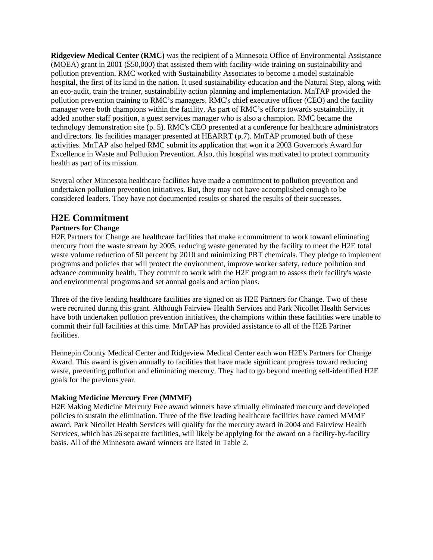**Ridgeview Medical Center (RMC)** was the recipient of a Minnesota Office of Environmental Assistance (MOEA) grant in 2001 (\$50,000) that assisted them with facility-wide training on sustainability and pollution prevention. RMC worked with Sustainability Associates to become a model sustainable hospital, the first of its kind in the nation. It used sustainability education and the Natural Step, along with an eco-audit, train the trainer, sustainability action planning and implementation. MnTAP provided the pollution prevention training to RMC's managers. RMC's chief executive officer (CEO) and the facility manager were both champions within the facility. As part of RMC's efforts towards sustainability, it added another staff position, a guest services manager who is also a champion. RMC became the technology demonstration site (p. 5). RMC's CEO presented at a conference for healthcare administrators and directors. Its facilities manager presented at HEARRT (p.7). MnTAP promoted both of these activities. MnTAP also helped RMC submit its application that won it a 2003 Governor's Award for Excellence in Waste and Pollution Prevention. Also, this hospital was motivated to protect community health as part of its mission.

Several other Minnesota healthcare facilities have made a commitment to pollution prevention and undertaken pollution prevention initiatives. But, they may not have accomplished enough to be considered leaders. They have not documented results or shared the results of their successes.

#### **H2E Commitment**

#### **Partners for Change**

H2E Partners for Change are healthcare facilities that make a commitment to work toward eliminating mercury from the waste stream by 2005, reducing waste generated by the facility to meet the H2E total waste volume reduction of 50 percent by 2010 and minimizing PBT chemicals. They pledge to implement programs and policies that will protect the environment, improve worker safety, reduce pollution and advance community health. They commit to work with the H2E program to assess their facility's waste and environmental programs and set annual goals and action plans.

Three of the five leading healthcare facilities are signed on as H2E Partners for Change. Two of these were recruited during this grant. Although Fairview Health Services and Park Nicollet Health Services have both undertaken pollution prevention initiatives, the champions within these facilities were unable to commit their full facilities at this time. MnTAP has provided assistance to all of the H2E Partner facilities.

Hennepin County Medical Center and Ridgeview Medical Center each won H2E's Partners for Change Award. This award is given annually to facilities that have made significant progress toward reducing waste, preventing pollution and eliminating mercury. They had to go beyond meeting self-identified H2E goals for the previous year.

#### **Making Medicine Mercury Free (MMMF)**

H2E Making Medicine Mercury Free award winners have virtually eliminated mercury and developed policies to sustain the elimination. Three of the five leading healthcare facilities have earned MMMF award. Park Nicollet Health Services will qualify for the mercury award in 2004 and Fairview Health Services, which has 26 separate facilities, will likely be applying for the award on a facility-by-facility basis. All of the Minnesota award winners are listed in Table 2.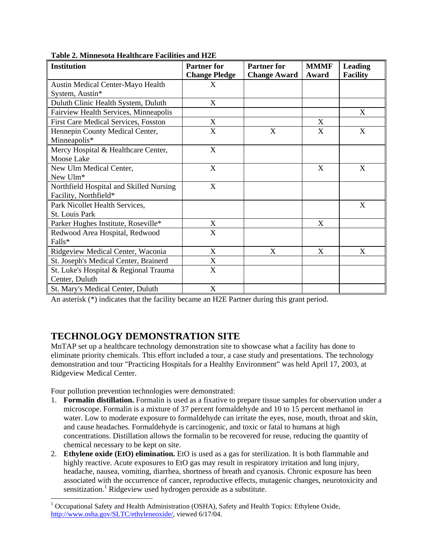| <b>Institution</b>                      | <b>Partner for</b>        | <b>Partner for</b>  | <b>MMMF</b> | <b>Leading</b>            |
|-----------------------------------------|---------------------------|---------------------|-------------|---------------------------|
|                                         | <b>Change Pledge</b>      | <b>Change Award</b> | Award       | <b>Facility</b>           |
| Austin Medical Center-Mayo Health       | X                         |                     |             |                           |
| System, Austin*                         |                           |                     |             |                           |
| Duluth Clinic Health System, Duluth     | X                         |                     |             |                           |
| Fairview Health Services, Minneapolis   |                           |                     |             | X                         |
| First Care Medical Services, Fosston    | $\mathbf X$               |                     | X           |                           |
| Hennepin County Medical Center,         | X                         | X                   | X           | X                         |
| Minneapolis*                            |                           |                     |             |                           |
| Mercy Hospital & Healthcare Center,     | $\boldsymbol{\mathrm{X}}$ |                     |             |                           |
| Moose Lake                              |                           |                     |             |                           |
| New Ulm Medical Center,                 | X                         |                     | X           | X                         |
| New Ulm*                                |                           |                     |             |                           |
| Northfield Hospital and Skilled Nursing | X                         |                     |             |                           |
| Facility, Northfield*                   |                           |                     |             |                           |
| Park Nicollet Health Services,          |                           |                     |             | $\mathbf X$               |
| St. Louis Park                          |                           |                     |             |                           |
| Parker Hughes Institute, Roseville*     | X                         |                     | X           |                           |
| Redwood Area Hospital, Redwood          | $\boldsymbol{\mathrm{X}}$ |                     |             |                           |
| Falls*                                  |                           |                     |             |                           |
| Ridgeview Medical Center, Waconia       | X                         | X                   | X           | $\boldsymbol{\mathrm{X}}$ |
| St. Joseph's Medical Center, Brainerd   | $\mathbf X$               |                     |             |                           |
| St. Luke's Hospital & Regional Trauma   | $\boldsymbol{\mathrm{X}}$ |                     |             |                           |
| Center, Duluth                          |                           |                     |             |                           |
| St. Mary's Medical Center, Duluth       | X                         |                     |             |                           |

**Table 2. Minnesota Healthcare Facilities and H2E**

An asterisk (\*) indicates that the facility became an H2E Partner during this grant period.

# **TECHNOLOGY DEMONSTRATION SITE**

MnTAP set up a healthcare technology demonstration site to showcase what a facility has done to eliminate priority chemicals. This effort included a tour, a case study and presentations. The technology demonstration and tour "Practicing Hospitals for a Healthy Environment" was held April 17, 2003, at Ridgeview Medical Center.

Four pollution prevention technologies were demonstrated:

 $\overline{a}$ 

- 1. **Formalin distillation.** Formalin is used as a fixative to prepare tissue samples for observation under a microscope. Formalin is a mixture of 37 percent formaldehyde and 10 to 15 percent methanol in water. Low to moderate exposure to formaldehyde can irritate the eyes, nose, mouth, throat and skin, and cause headaches. Formaldehyde is carcinogenic, and toxic or fatal to humans at high concentrations. Distillation allows the formalin to be recovered for reuse, reducing the quantity of chemical necessary to be kept on site.
- 2. **Ethylene oxide (EtO) elimination.** EtO is used as a gas for sterilization. It is both flammable and highly reactive. Acute exposures to EtO gas may result in respiratory irritation and lung injury, headache, nausea, vomiting, diarrhea, shortness of breath and cyanosis. Chronic exposure has been associated with the occurrence of cancer, reproductive effects, mutagenic changes, neurotoxicity and sensitization.<sup>1</sup> Ridgeview used hydrogen peroxide as a substitute.

<sup>&</sup>lt;sup>1</sup> Occupational Safety and Health Administration (OSHA), Safety and Health Topics: Ethylene Oxide, http://www.osha.gov/SLTC/ethyleneoxide/, viewed 6/17/04.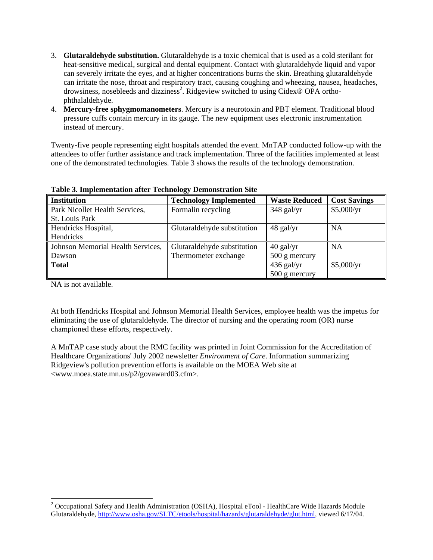- 3. **Glutaraldehyde substitution.** Glutaraldehyde is a toxic chemical that is used as a cold sterilant for heat-sensitive medical, surgical and dental equipment. Contact with glutaraldehyde liquid and vapor can severely irritate the eyes, and at higher concentrations burns the skin. Breathing glutaraldehyde can irritate the nose, throat and respiratory tract, causing coughing and wheezing, nausea, headaches, drowsiness, nosebleeds and dizziness<sup>2</sup>. Ridgeview switched to using Cidex® OPA orthophthalaldehyde.
- 4. **Mercury-free sphygmomanometers**. Mercury is a neurotoxin and PBT element. Traditional blood pressure cuffs contain mercury in its gauge. The new equipment uses electronic instrumentation instead of mercury.

Twenty-five people representing eight hospitals attended the event. MnTAP conducted follow-up with the attendees to offer further assistance and track implementation. Three of the facilities implemented at least one of the demonstrated technologies. Table 3 shows the results of the technology demonstration.

| <b>Institution</b>                | <b>Technology Implemented</b> | <b>Waste Reduced</b> | <b>Cost Savings</b> |  |
|-----------------------------------|-------------------------------|----------------------|---------------------|--|
| Park Nicollet Health Services,    | Formalin recycling            | $348$ gal/yr         | \$5,000/yr          |  |
| St. Louis Park                    |                               |                      |                     |  |
| Hendricks Hospital,               | Glutaraldehyde substitution   | $48$ gal/yr          | <b>NA</b>           |  |
| Hendricks                         |                               |                      |                     |  |
| Johnson Memorial Health Services, | Glutaraldehyde substitution   | $40$ gal/yr          | <b>NA</b>           |  |
| Dawson                            | Thermometer exchange          | 500 g mercury        |                     |  |
| <b>Total</b>                      |                               | $436$ gal/yr         | \$5,000/yr          |  |
|                                   |                               | 500 g mercury        |                     |  |

**Table 3. Implementation after Technology Demonstration Site**

NA is not available.

 $\overline{a}$ 

At both Hendricks Hospital and Johnson Memorial Health Services, employee health was the impetus for eliminating the use of glutaraldehyde. The director of nursing and the operating room (OR) nurse championed these efforts, respectively.

A MnTAP case study about the RMC facility was printed in Joint Commission for the Accreditation of Healthcare Organizations' July 2002 newsletter *Environment of Care*. Information summarizing Ridgeview's pollution prevention efforts is available on the MOEA Web site at <www.moea.state.mn.us/p2/govaward03.cfm>.

<sup>&</sup>lt;sup>2</sup> Occupational Safety and Health Administration (OSHA), Hospital eTool - HealthCare Wide Hazards Module Glutaraldehyde, http://www.osha.gov/SLTC/etools/hospital/hazards/glutaraldehyde/glut.html, viewed 6/17/04.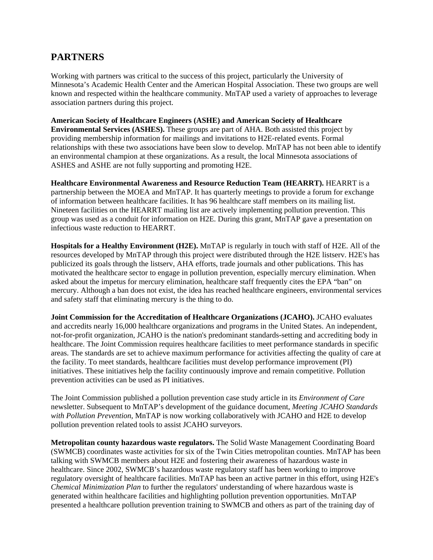# **PARTNERS**

Working with partners was critical to the success of this project, particularly the University of Minnesota's Academic Health Center and the American Hospital Association. These two groups are well known and respected within the healthcare community. MnTAP used a variety of approaches to leverage association partners during this project.

**American Society of Healthcare Engineers (ASHE) and American Society of Healthcare Environmental Services (ASHES).** These groups are part of AHA. Both assisted this project by providing membership information for mailings and invitations to H2E-related events. Formal relationships with these two associations have been slow to develop. MnTAP has not been able to identify an environmental champion at these organizations. As a result, the local Minnesota associations of ASHES and ASHE are not fully supporting and promoting H2E.

**Healthcare Environmental Awareness and Resource Reduction Team (HEARRT).** HEARRT is a partnership between the MOEA and MnTAP. It has quarterly meetings to provide a forum for exchange of information between healthcare facilities. It has 96 healthcare staff members on its mailing list. Nineteen facilities on the HEARRT mailing list are actively implementing pollution prevention. This group was used as a conduit for information on H2E. During this grant, MnTAP gave a presentation on infectious waste reduction to HEARRT.

**Hospitals for a Healthy Environment (H2E).** MnTAP is regularly in touch with staff of H2E. All of the resources developed by MnTAP through this project were distributed through the H2E listserv. H2E's has publicized its goals through the listserv, AHA efforts, trade journals and other publications. This has motivated the healthcare sector to engage in pollution prevention, especially mercury elimination. When asked about the impetus for mercury elimination, healthcare staff frequently cites the EPA "ban" on mercury. Although a ban does not exist, the idea has reached healthcare engineers, environmental services and safety staff that eliminating mercury is the thing to do.

**Joint Commission for the Accreditation of Healthcare Organizations (JCAHO).** JCAHO evaluates and accredits nearly 16,000 healthcare organizations and programs in the United States. An independent, not-for-profit organization, JCAHO is the nation's predominant standards-setting and accrediting body in healthcare. The Joint Commission requires healthcare facilities to meet performance standards in specific areas. The standards are set to achieve maximum performance for activities affecting the quality of care at the facility. To meet standards, healthcare facilities must develop performance improvement (PI) initiatives. These initiatives help the facility continuously improve and remain competitive. Pollution prevention activities can be used as PI initiatives.

The Joint Commission published a pollution prevention case study article in its *Environment of Care* newsletter. Subsequent to MnTAP's development of the guidance document, *Meeting JCAHO Standards with Pollution Prevention*, MnTAP is now working collaboratively with JCAHO and H2E to develop pollution prevention related tools to assist JCAHO surveyors.

**Metropolitan county hazardous waste regulators.** The Solid Waste Management Coordinating Board (SWMCB) coordinates waste activities for six of the Twin Cities metropolitan counties. MnTAP has been talking with SWMCB members about H2E and fostering their awareness of hazardous waste in healthcare. Since 2002, SWMCB's hazardous waste regulatory staff has been working to improve regulatory oversight of healthcare facilities. MnTAP has been an active partner in this effort, using H2E's *Chemical Minimization Plan* to further the regulators' understanding of where hazardous waste is generated within healthcare facilities and highlighting pollution prevention opportunities. MnTAP presented a healthcare pollution prevention training to SWMCB and others as part of the training day of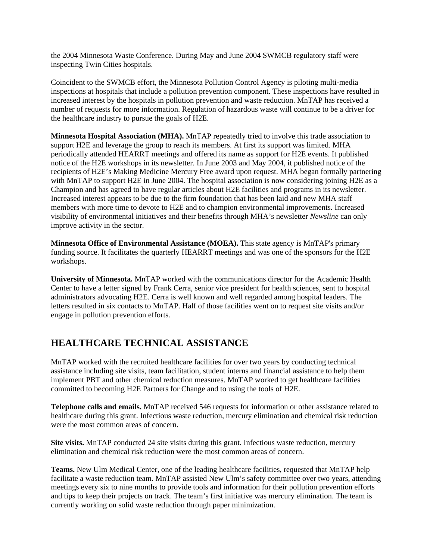the 2004 Minnesota Waste Conference. During May and June 2004 SWMCB regulatory staff were inspecting Twin Cities hospitals.

Coincident to the SWMCB effort, the Minnesota Pollution Control Agency is piloting multi-media inspections at hospitals that include a pollution prevention component. These inspections have resulted in increased interest by the hospitals in pollution prevention and waste reduction. MnTAP has received a number of requests for more information. Regulation of hazardous waste will continue to be a driver for the healthcare industry to pursue the goals of H2E.

**Minnesota Hospital Association (MHA).** MnTAP repeatedly tried to involve this trade association to support H2E and leverage the group to reach its members. At first its support was limited. MHA periodically attended HEARRT meetings and offered its name as support for H2E events. It published notice of the H2E workshops in its newsletter. In June 2003 and May 2004, it published notice of the recipients of H2E's Making Medicine Mercury Free award upon request. MHA began formally partnering with MnTAP to support H2E in June 2004. The hospital association is now considering joining H2E as a Champion and has agreed to have regular articles about H2E facilities and programs in its newsletter. Increased interest appears to be due to the firm foundation that has been laid and new MHA staff members with more time to devote to H2E and to champion environmental improvements. Increased visibility of environmental initiatives and their benefits through MHA's newsletter *Newsline* can only improve activity in the sector.

**Minnesota Office of Environmental Assistance (MOEA).** This state agency is MnTAP's primary funding source. It facilitates the quarterly HEARRT meetings and was one of the sponsors for the H2E workshops.

**University of Minnesota.** MnTAP worked with the communications director for the Academic Health Center to have a letter signed by Frank Cerra, senior vice president for health sciences, sent to hospital administrators advocating H2E. Cerra is well known and well regarded among hospital leaders. The letters resulted in six contacts to MnTAP. Half of those facilities went on to request site visits and/or engage in pollution prevention efforts.

# **HEALTHCARE TECHNICAL ASSISTANCE**

MnTAP worked with the recruited healthcare facilities for over two years by conducting technical assistance including site visits, team facilitation, student interns and financial assistance to help them implement PBT and other chemical reduction measures. MnTAP worked to get healthcare facilities committed to becoming H2E Partners for Change and to using the tools of H2E.

**Telephone calls and emails.** MnTAP received 546 requests for information or other assistance related to healthcare during this grant. Infectious waste reduction, mercury elimination and chemical risk reduction were the most common areas of concern.

**Site visits.** MnTAP conducted 24 site visits during this grant. Infectious waste reduction, mercury elimination and chemical risk reduction were the most common areas of concern.

**Teams.** New Ulm Medical Center, one of the leading healthcare facilities, requested that MnTAP help facilitate a waste reduction team. MnTAP assisted New Ulm's safety committee over two years, attending meetings every six to nine months to provide tools and information for their pollution prevention efforts and tips to keep their projects on track. The team's first initiative was mercury elimination. The team is currently working on solid waste reduction through paper minimization.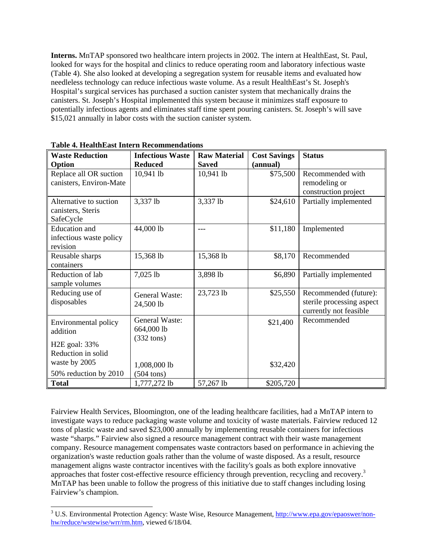**Interns.** MnTAP sponsored two healthcare intern projects in 2002. The intern at HealthEast, St. Paul, looked for ways for the hospital and clinics to reduce operating room and laboratory infectious waste (Table 4). She also looked at developing a segregation system for reusable items and evaluated how needleless technology can reduce infectious waste volume. As a result HealthEast's St. Joseph's Hospital's surgical services has purchased a suction canister system that mechanically drains the canisters. St. Joseph's Hospital implemented this system because it minimizes staff exposure to potentially infectious agents and eliminates staff time spent pouring canisters. St. Joseph's will save \$15,021 annually in labor costs with the suction canister system.

| <b>Waste Reduction</b>                                      | <b>Infectious Waste</b>                                     | <b>Raw Material</b> | <b>Cost Savings</b> | <b>Status</b>                                                                |
|-------------------------------------------------------------|-------------------------------------------------------------|---------------------|---------------------|------------------------------------------------------------------------------|
| Option                                                      | <b>Reduced</b>                                              | <b>Saved</b>        | (annual)            |                                                                              |
| Replace all OR suction<br>canisters, Environ-Mate           | 10,941 lb                                                   | 10,941 lb           | \$75,500            | Recommended with<br>remodeling or<br>construction project                    |
| Alternative to suction<br>canisters, Steris<br>SafeCycle    | 3,337 lb                                                    | 3,337 lb            | \$24,610            | Partially implemented                                                        |
| <b>Education</b> and<br>infectious waste policy<br>revision | 44,000 lb                                                   | ---                 | \$11,180            | Implemented                                                                  |
| Reusable sharps<br>containers                               | 15,368 lb                                                   | 15,368 lb           | \$8,170             | Recommended                                                                  |
| Reduction of lab<br>sample volumes                          | 7,025 lb                                                    | 3,898 lb            | \$6,890             | Partially implemented                                                        |
| Reducing use of<br>disposables                              | <b>General Waste:</b><br>24,500 lb                          | 23,723 lb           | \$25,550            | Recommended (future):<br>sterile processing aspect<br>currently not feasible |
| Environmental policy<br>addition                            | <b>General Waste:</b><br>664,000 lb<br>$(332 \text{ tons})$ |                     | \$21,400            | Recommended                                                                  |
| H <sub>2</sub> E goal: 33%                                  |                                                             |                     |                     |                                                                              |
| Reduction in solid                                          |                                                             |                     |                     |                                                                              |
| waste by 2005                                               | 1,008,000 lb                                                |                     | \$32,420            |                                                                              |
| 50% reduction by 2010                                       | $(504 \text{ tons})$                                        |                     |                     |                                                                              |
| <b>Total</b>                                                | 1,777,272 lb                                                | 57,267 lb           | \$205,720           |                                                                              |

**Table 4. HealthEast Intern Recommendations**

l

Fairview Health Services, Bloomington, one of the leading healthcare facilities, had a MnTAP intern to investigate ways to reduce packaging waste volume and toxicity of waste materials. Fairview reduced 12 tons of plastic waste and saved \$23,000 annually by implementing reusable containers for infectious waste "sharps." Fairview also signed a resource management contract with their waste management company. Resource management compensates waste contractors based on performance in achieving the organization's waste reduction goals rather than the volume of waste disposed. As a result, resource management aligns waste contractor incentives with the facility's goals as both explore innovative approaches that foster cost-effective resource efficiency through prevention, recycling and recovery.<sup>3</sup> MnTAP has been unable to follow the progress of this initiative due to staff changes including losing Fairview's champion.

<sup>&</sup>lt;sup>3</sup> U.S. Environmental Protection Agency: Waste Wise, Resource Management, http://www.epa.gov/epaoswer/nonhw/reduce/wstewise/wrr/rm.htm, viewed 6/18/04.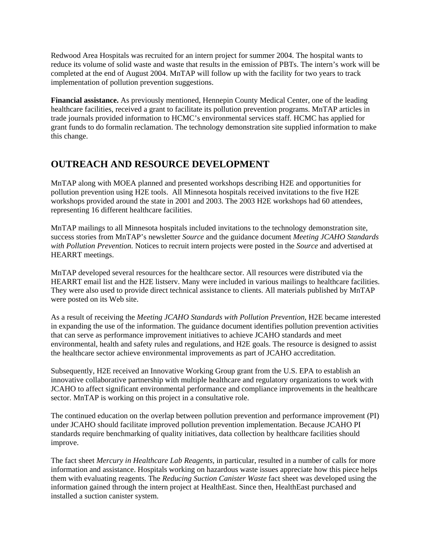Redwood Area Hospitals was recruited for an intern project for summer 2004. The hospital wants to reduce its volume of solid waste and waste that results in the emission of PBTs. The intern's work will be completed at the end of August 2004. MnTAP will follow up with the facility for two years to track implementation of pollution prevention suggestions.

**Financial assistance.** As previously mentioned, Hennepin County Medical Center, one of the leading healthcare facilities, received a grant to facilitate its pollution prevention programs. MnTAP articles in trade journals provided information to HCMC's environmental services staff. HCMC has applied for grant funds to do formalin reclamation. The technology demonstration site supplied information to make this change.

# **OUTREACH AND RESOURCE DEVELOPMENT**

MnTAP along with MOEA planned and presented workshops describing H2E and opportunities for pollution prevention using H2E tools. All Minnesota hospitals received invitations to the five H2E workshops provided around the state in 2001 and 2003. The 2003 H2E workshops had 60 attendees, representing 16 different healthcare facilities.

MnTAP mailings to all Minnesota hospitals included invitations to the technology demonstration site, success stories from MnTAP's newsletter *Source* and the guidance document *Meeting JCAHO Standards with Pollution Prevention.* Notices to recruit intern projects were posted in the *Source* and advertised at HEARRT meetings.

MnTAP developed several resources for the healthcare sector. All resources were distributed via the HEARRT email list and the H2E listserv. Many were included in various mailings to healthcare facilities. They were also used to provide direct technical assistance to clients. All materials published by MnTAP were posted on its Web site.

As a result of receiving the *Meeting JCAHO Standards with Pollution Prevention,* H2E became interested in expanding the use of the information. The guidance document identifies pollution prevention activities that can serve as performance improvement initiatives to achieve JCAHO standards and meet environmental, health and safety rules and regulations, and H2E goals. The resource is designed to assist the healthcare sector achieve environmental improvements as part of JCAHO accreditation.

Subsequently, H2E received an Innovative Working Group grant from the U.S. EPA to establish an innovative collaborative partnership with multiple healthcare and regulatory organizations to work with JCAHO to affect significant environmental performance and compliance improvements in the healthcare sector. MnTAP is working on this project in a consultative role.

The continued education on the overlap between pollution prevention and performance improvement (PI) under JCAHO should facilitate improved pollution prevention implementation. Because JCAHO PI standards require benchmarking of quality initiatives, data collection by healthcare facilities should improve.

The fact sheet *Mercury in Healthcare Lab Reagents,* in particular, resulted in a number of calls for more information and assistance. Hospitals working on hazardous waste issues appreciate how this piece helps them with evaluating reagents*.* The *Reducing Suction Canister Waste* fact sheet was developed using the information gained through the intern project at HealthEast. Since then, HealthEast purchased and installed a suction canister system.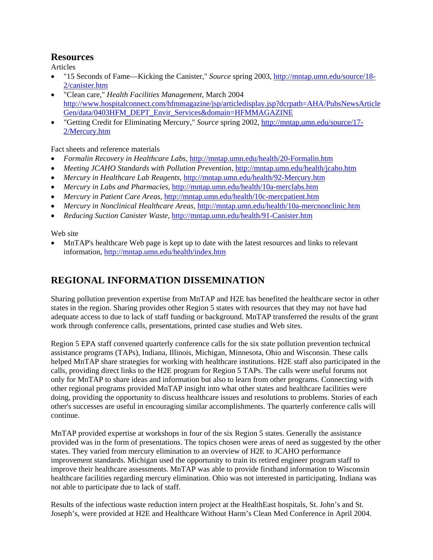#### **Resources**

Articles

- "15 Seconds of Fame—Kicking the Canister," *Source* spring 2003, http://mntap.umn.edu/source/18- 2/canister.htm
- "Clean care," *Health Facilities Management,* March 2004 http://www.hospitalconnect.com/hfmmagazine/jsp/articledisplay.jsp?dcrpath=AHA/PubsNewsArticle Gen/data/0403HFM\_DEPT\_Envir\_Services&domain=HFMMAGAZINE
- "Getting Credit for Eliminating Mercury," *Source* spring 2002, http://mntap.umn.edu/source/17- 2/Mercury.htm

Fact sheets and reference materials

- *Formalin Recovery in Healthcare Labs,* http://mntap.umn.edu/health/20-Formalin.htm
- *Meeting JCAHO Standards with Pollution Prevention*, http://mntap.umn.edu/health/icaho.htm
- *Mercury in Healthcare Lab Reagents*, http://mntap.umn.edu/health/92-Mercury.htm
- *Mercury in Labs and Pharmacies,* http://mntap.umn.edu/health/10a-merclabs.htm
- *Mercury in Patient Care Areas,* http://mntap.umn.edu/health/10c-mercpatient.htm
- *Mercury in Nonclinical Healthcare Areas,* http://mntap.umn.edu/health/10a-mercnonclinic.htm
- *Reducing Suction Canister Waste*, http://mntap.umn.edu/health/91-Canister.htm

Web site

• MnTAP's healthcare Web page is kept up to date with the latest resources and links to relevant information, http://mntap.umn.edu/health/index.htm

# **REGIONAL INFORMATION DISSEMINATION**

Sharing pollution prevention expertise from MnTAP and H2E has benefited the healthcare sector in other states in the region. Sharing provides other Region 5 states with resources that they may not have had adequate access to due to lack of staff funding or background. MnTAP transferred the results of the grant work through conference calls, presentations, printed case studies and Web sites.

Region 5 EPA staff convened quarterly conference calls for the six state pollution prevention technical assistance programs (TAPs), Indiana, Illinois, Michigan, Minnesota, Ohio and Wisconsin. These calls helped MnTAP share strategies for working with healthcare institutions. H2E staff also participated in the calls, providing direct links to the H2E program for Region 5 TAPs. The calls were useful forums not only for MnTAP to share ideas and information but also to learn from other programs. Connecting with other regional programs provided MnTAP insight into what other states and healthcare facilities were doing, providing the opportunity to discuss healthcare issues and resolutions to problems. Stories of each other's successes are useful in encouraging similar accomplishments. The quarterly conference calls will continue.

MnTAP provided expertise at workshops in four of the six Region 5 states. Generally the assistance provided was in the form of presentations. The topics chosen were areas of need as suggested by the other states. They varied from mercury elimination to an overview of H2E to JCAHO performance improvement standards. Michigan used the opportunity to train its retired engineer program staff to improve their healthcare assessments. MnTAP was able to provide firsthand information to Wisconsin healthcare facilities regarding mercury elimination. Ohio was not interested in participating. Indiana was not able to participate due to lack of staff.

Results of the infectious waste reduction intern project at the HealthEast hospitals, St. John's and St. Joseph's, were provided at H2E and Healthcare Without Harm's Clean Med Conference in April 2004.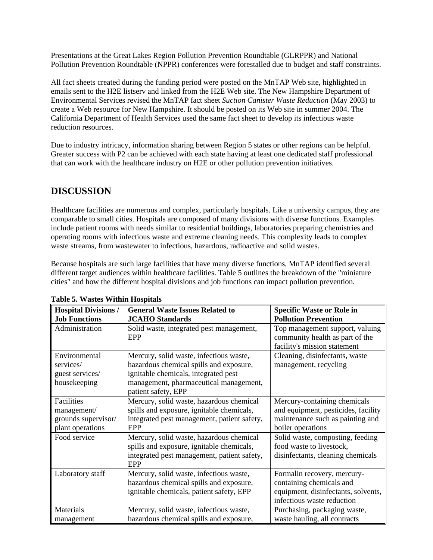Presentations at the Great Lakes Region Pollution Prevention Roundtable (GLRPPR) and National Pollution Prevention Roundtable (NPPR) conferences were forestalled due to budget and staff constraints.

All fact sheets created during the funding period were posted on the MnTAP Web site, highlighted in emails sent to the H2E listserv and linked from the H2E Web site. The New Hampshire Department of Environmental Services revised the MnTAP fact sheet *Suction Canister Waste Reduction* (May 2003) to create a Web resource for New Hampshire. It should be posted on its Web site in summer 2004. The California Department of Health Services used the same fact sheet to develop its infectious waste reduction resources.

Due to industry intricacy, information sharing between Region 5 states or other regions can be helpful. Greater success with P2 can be achieved with each state having at least one dedicated staff professional that can work with the healthcare industry on H2E or other pollution prevention initiatives.

### **DISCUSSION**

Healthcare facilities are numerous and complex, particularly hospitals. Like a university campus, they are comparable to small cities. Hospitals are composed of many divisions with diverse functions. Examples include patient rooms with needs similar to residential buildings, laboratories preparing chemistries and operating rooms with infectious waste and extreme cleaning needs. This complexity leads to complex waste streams, from wastewater to infectious, hazardous, radioactive and solid wastes.

Because hospitals are such large facilities that have many diverse functions, MnTAP identified several different target audiences within healthcare facilities. Table 5 outlines the breakdown of the "miniature cities" and how the different hospital divisions and job functions can impact pollution prevention.

| <b>Hospital Divisions /</b> | <b>General Waste Issues Related to</b>             | <b>Specific Waste or Role in</b>                                                                   |
|-----------------------------|----------------------------------------------------|----------------------------------------------------------------------------------------------------|
| <b>Job Functions</b>        | <b>JCAHO</b> Standards                             | <b>Pollution Prevention</b>                                                                        |
| Administration              | Solid waste, integrated pest management,<br>EPP    | Top management support, valuing<br>community health as part of the<br>facility's mission statement |
| Environmental               | Mercury, solid waste, infectious waste,            | Cleaning, disinfectants, waste                                                                     |
| services/                   | hazardous chemical spills and exposure,            | management, recycling                                                                              |
| guest services/             | ignitable chemicals, integrated pest               |                                                                                                    |
| housekeeping                | management, pharmaceutical management,             |                                                                                                    |
|                             | patient safety, EPP                                |                                                                                                    |
| Facilities                  | Mercury, solid waste, hazardous chemical           | Mercury-containing chemicals                                                                       |
| management/                 | spills and exposure, ignitable chemicals,          | and equipment, pesticides, facility                                                                |
| grounds supervisor/         | integrated pest management, patient safety,        | maintenance such as painting and                                                                   |
| plant operations            | EPP                                                | boiler operations                                                                                  |
| Food service                | Mercury, solid waste, hazardous chemical           | Solid waste, composting, feeding                                                                   |
|                             | spills and exposure, ignitable chemicals,          | food waste to livestock,                                                                           |
|                             | integrated pest management, patient safety,<br>EPP | disinfectants, cleaning chemicals                                                                  |
| Laboratory staff            | Mercury, solid waste, infectious waste,            | Formalin recovery, mercury-                                                                        |
|                             | hazardous chemical spills and exposure,            | containing chemicals and                                                                           |
|                             | ignitable chemicals, patient safety, EPP           | equipment, disinfectants, solvents,                                                                |
|                             |                                                    | infectious waste reduction                                                                         |
| Materials                   | Mercury, solid waste, infectious waste,            | Purchasing, packaging waste,                                                                       |
| management                  | hazardous chemical spills and exposure,            | waste hauling, all contracts                                                                       |

#### **Table 5. Wastes Within Hospitals**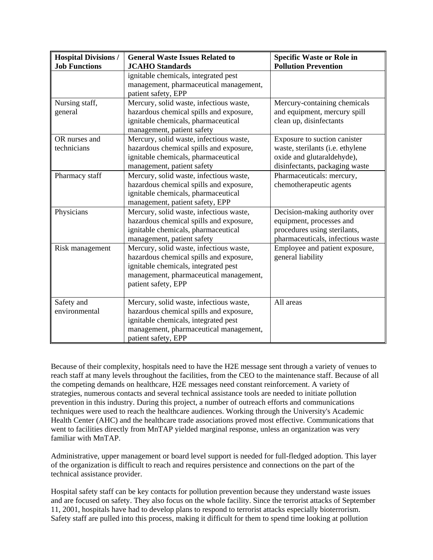| <b>Hospital Divisions /</b>  | <b>General Waste Issues Related to</b>                                                                                                                                                      | <b>Specific Waste or Role in</b>                                                                                                 |
|------------------------------|---------------------------------------------------------------------------------------------------------------------------------------------------------------------------------------------|----------------------------------------------------------------------------------------------------------------------------------|
| <b>Job Functions</b>         | <b>JCAHO</b> Standards                                                                                                                                                                      | <b>Pollution Prevention</b>                                                                                                      |
|                              | ignitable chemicals, integrated pest<br>management, pharmaceutical management,<br>patient safety, EPP                                                                                       |                                                                                                                                  |
| Nursing staff,<br>general    | Mercury, solid waste, infectious waste,<br>hazardous chemical spills and exposure,<br>ignitable chemicals, pharmaceutical<br>management, patient safety                                     | Mercury-containing chemicals<br>and equipment, mercury spill<br>clean up, disinfectants                                          |
| OR nurses and<br>technicians | Mercury, solid waste, infectious waste,<br>hazardous chemical spills and exposure,<br>ignitable chemicals, pharmaceutical<br>management, patient safety                                     | Exposure to suction canister<br>waste, sterilants (i.e. ethylene<br>oxide and glutaraldehyde),<br>disinfectants, packaging waste |
| Pharmacy staff               | Mercury, solid waste, infectious waste,<br>hazardous chemical spills and exposure,<br>ignitable chemicals, pharmaceutical<br>management, patient safety, EPP                                | Pharmaceuticals: mercury,<br>chemotherapeutic agents                                                                             |
| Physicians                   | Mercury, solid waste, infectious waste,<br>hazardous chemical spills and exposure,<br>ignitable chemicals, pharmaceutical<br>management, patient safety                                     | Decision-making authority over<br>equipment, processes and<br>procedures using sterilants,<br>pharmaceuticals, infectious waste  |
| Risk management              | Mercury, solid waste, infectious waste,<br>hazardous chemical spills and exposure,<br>ignitable chemicals, integrated pest<br>management, pharmaceutical management,<br>patient safety, EPP | Employee and patient exposure,<br>general liability                                                                              |
| Safety and<br>environmental  | Mercury, solid waste, infectious waste,<br>hazardous chemical spills and exposure,<br>ignitable chemicals, integrated pest<br>management, pharmaceutical management,<br>patient safety, EPP | All areas                                                                                                                        |

Because of their complexity, hospitals need to have the H2E message sent through a variety of venues to reach staff at many levels throughout the facilities, from the CEO to the maintenance staff. Because of all the competing demands on healthcare, H2E messages need constant reinforcement. A variety of strategies, numerous contacts and several technical assistance tools are needed to initiate pollution prevention in this industry. During this project, a number of outreach efforts and communications techniques were used to reach the healthcare audiences. Working through the University's Academic Health Center (AHC) and the healthcare trade associations proved most effective. Communications that went to facilities directly from MnTAP yielded marginal response, unless an organization was very familiar with MnTAP.

Administrative, upper management or board level support is needed for full-fledged adoption. This layer of the organization is difficult to reach and requires persistence and connections on the part of the technical assistance provider.

Hospital safety staff can be key contacts for pollution prevention because they understand waste issues and are focused on safety. They also focus on the whole facility. Since the terrorist attacks of September 11, 2001, hospitals have had to develop plans to respond to terrorist attacks especially bioterrorism. Safety staff are pulled into this process, making it difficult for them to spend time looking at pollution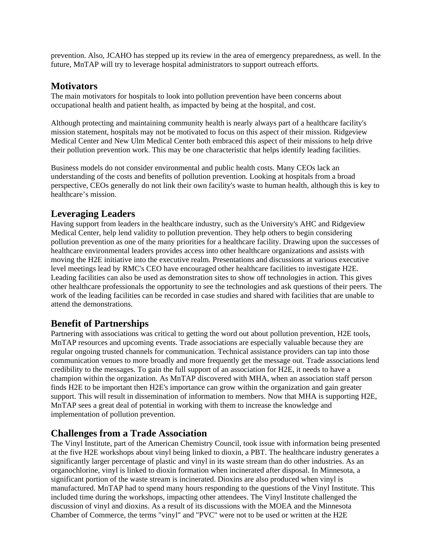prevention. Also, JCAHO has stepped up its review in the area of emergency preparedness, as well. In the future, MnTAP will try to leverage hospital administrators to support outreach efforts.

#### **Motivators**

The main motivators for hospitals to look into pollution prevention have been concerns about occupational health and patient health, as impacted by being at the hospital, and cost.

Although protecting and maintaining community health is nearly always part of a healthcare facility's mission statement, hospitals may not be motivated to focus on this aspect of their mission. Ridgeview Medical Center and New Ulm Medical Center both embraced this aspect of their missions to help drive their pollution prevention work. This may be one characteristic that helps identify leading facilities.

Business models do not consider environmental and public health costs. Many CEOs lack an understanding of the costs and benefits of pollution prevention. Looking at hospitals from a broad perspective, CEOs generally do not link their own facility's waste to human health, although this is key to healthcare's mission.

### **Leveraging Leaders**

Having support from leaders in the healthcare industry, such as the University's AHC and Ridgeview Medical Center, help lend validity to pollution prevention. They help others to begin considering pollution prevention as one of the many priorities for a healthcare facility. Drawing upon the successes of healthcare environmental leaders provides access into other healthcare organizations and assists with moving the H2E initiative into the executive realm. Presentations and discussions at various executive level meetings lead by RMC's CEO have encouraged other healthcare facilities to investigate H2E. Leading facilities can also be used as demonstration sites to show off technologies in action. This gives other healthcare professionals the opportunity to see the technologies and ask questions of their peers. The work of the leading facilities can be recorded in case studies and shared with facilities that are unable to attend the demonstrations.

# **Benefit of Partnerships**

Partnering with associations was critical to getting the word out about pollution prevention, H2E tools, MnTAP resources and upcoming events. Trade associations are especially valuable because they are regular ongoing trusted channels for communication. Technical assistance providers can tap into those communication venues to more broadly and more frequently get the message out. Trade associations lend credibility to the messages. To gain the full support of an association for H2E, it needs to have a champion within the organization. As MnTAP discovered with MHA, when an association staff person finds H2E to be important then H2E's importance can grow within the organization and gain greater support. This will result in dissemination of information to members. Now that MHA is supporting H2E, MnTAP sees a great deal of potential in working with them to increase the knowledge and implementation of pollution prevention.

# **Challenges from a Trade Association**

The Vinyl Institute, part of the American Chemistry Council, took issue with information being presented at the five H2E workshops about vinyl being linked to dioxin, a PBT. The healthcare industry generates a significantly larger percentage of plastic and vinyl in its waste stream than do other industries. As an organochlorine, vinyl is linked to dioxin formation when incinerated after disposal. In Minnesota, a significant portion of the waste stream is incinerated. Dioxins are also produced when vinyl is manufactured. MnTAP had to spend many hours responding to the questions of the Vinyl Institute. This included time during the workshops, impacting other attendees. The Vinyl Institute challenged the discussion of vinyl and dioxins. As a result of its discussions with the MOEA and the Minnesota Chamber of Commerce, the terms "vinyl" and "PVC" were not to be used or written at the H2E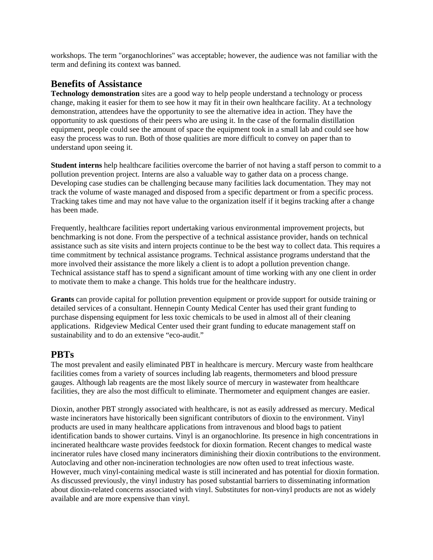workshops. The term "organochlorines" was acceptable; however, the audience was not familiar with the term and defining its context was banned.

#### **Benefits of Assistance**

**Technology demonstration** sites are a good way to help people understand a technology or process change, making it easier for them to see how it may fit in their own healthcare facility. At a technology demonstration, attendees have the opportunity to see the alternative idea in action. They have the opportunity to ask questions of their peers who are using it. In the case of the formalin distillation equipment, people could see the amount of space the equipment took in a small lab and could see how easy the process was to run. Both of those qualities are more difficult to convey on paper than to understand upon seeing it.

**Student interns** help healthcare facilities overcome the barrier of not having a staff person to commit to a pollution prevention project. Interns are also a valuable way to gather data on a process change. Developing case studies can be challenging because many facilities lack documentation. They may not track the volume of waste managed and disposed from a specific department or from a specific process. Tracking takes time and may not have value to the organization itself if it begins tracking after a change has been made.

Frequently, healthcare facilities report undertaking various environmental improvement projects, but benchmarking is not done. From the perspective of a technical assistance provider, hands on technical assistance such as site visits and intern projects continue to be the best way to collect data. This requires a time commitment by technical assistance programs. Technical assistance programs understand that the more involved their assistance the more likely a client is to adopt a pollution prevention change. Technical assistance staff has to spend a significant amount of time working with any one client in order to motivate them to make a change. This holds true for the healthcare industry.

**Grants** can provide capital for pollution prevention equipment or provide support for outside training or detailed services of a consultant. Hennepin County Medical Center has used their grant funding to purchase dispensing equipment for less toxic chemicals to be used in almost all of their cleaning applications. Ridgeview Medical Center used their grant funding to educate management staff on sustainability and to do an extensive "eco-audit."

#### **PBTs**

The most prevalent and easily eliminated PBT in healthcare is mercury. Mercury waste from healthcare facilities comes from a variety of sources including lab reagents, thermometers and blood pressure gauges. Although lab reagents are the most likely source of mercury in wastewater from healthcare facilities, they are also the most difficult to eliminate. Thermometer and equipment changes are easier.

Dioxin, another PBT strongly associated with healthcare, is not as easily addressed as mercury. Medical waste incinerators have historically been significant contributors of dioxin to the environment. Vinyl products are used in many healthcare applications from intravenous and blood bags to patient identification bands to shower curtains. Vinyl is an organochlorine. Its presence in high concentrations in incinerated healthcare waste provides feedstock for dioxin formation. Recent changes to medical waste incinerator rules have closed many incinerators diminishing their dioxin contributions to the environment. Autoclaving and other non-incineration technologies are now often used to treat infectious waste. However, much vinyl-containing medical waste is still incinerated and has potential for dioxin formation. As discussed previously, the vinyl industry has posed substantial barriers to disseminating information about dioxin-related concerns associated with vinyl. Substitutes for non-vinyl products are not as widely available and are more expensive than vinyl.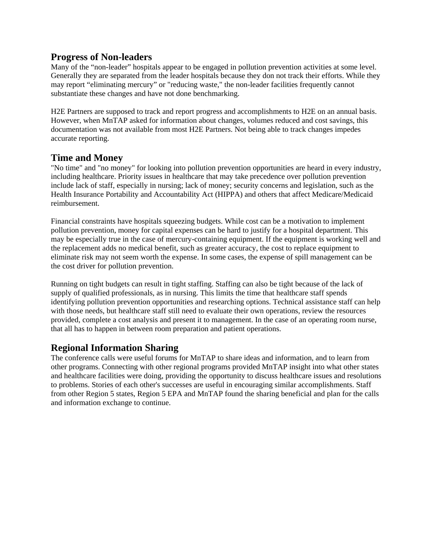#### **Progress of Non-leaders**

Many of the "non-leader" hospitals appear to be engaged in pollution prevention activities at some level. Generally they are separated from the leader hospitals because they don not track their efforts. While they may report "eliminating mercury" or "reducing waste," the non-leader facilities frequently cannot substantiate these changes and have not done benchmarking.

H2E Partners are supposed to track and report progress and accomplishments to H2E on an annual basis. However, when MnTAP asked for information about changes, volumes reduced and cost savings, this documentation was not available from most H2E Partners. Not being able to track changes impedes accurate reporting.

#### **Time and Money**

"No time" and "no money" for looking into pollution prevention opportunities are heard in every industry, including healthcare. Priority issues in healthcare that may take precedence over pollution prevention include lack of staff, especially in nursing; lack of money; security concerns and legislation, such as the Health Insurance Portability and Accountability Act (HIPPA) and others that affect Medicare/Medicaid reimbursement.

Financial constraints have hospitals squeezing budgets. While cost can be a motivation to implement pollution prevention, money for capital expenses can be hard to justify for a hospital department. This may be especially true in the case of mercury-containing equipment. If the equipment is working well and the replacement adds no medical benefit, such as greater accuracy, the cost to replace equipment to eliminate risk may not seem worth the expense. In some cases, the expense of spill management can be the cost driver for pollution prevention.

Running on tight budgets can result in tight staffing. Staffing can also be tight because of the lack of supply of qualified professionals, as in nursing. This limits the time that healthcare staff spends identifying pollution prevention opportunities and researching options. Technical assistance staff can help with those needs, but healthcare staff still need to evaluate their own operations, review the resources provided, complete a cost analysis and present it to management. In the case of an operating room nurse, that all has to happen in between room preparation and patient operations.

#### **Regional Information Sharing**

The conference calls were useful forums for MnTAP to share ideas and information, and to learn from other programs. Connecting with other regional programs provided MnTAP insight into what other states and healthcare facilities were doing, providing the opportunity to discuss healthcare issues and resolutions to problems. Stories of each other's successes are useful in encouraging similar accomplishments. Staff from other Region 5 states, Region 5 EPA and MnTAP found the sharing beneficial and plan for the calls and information exchange to continue.